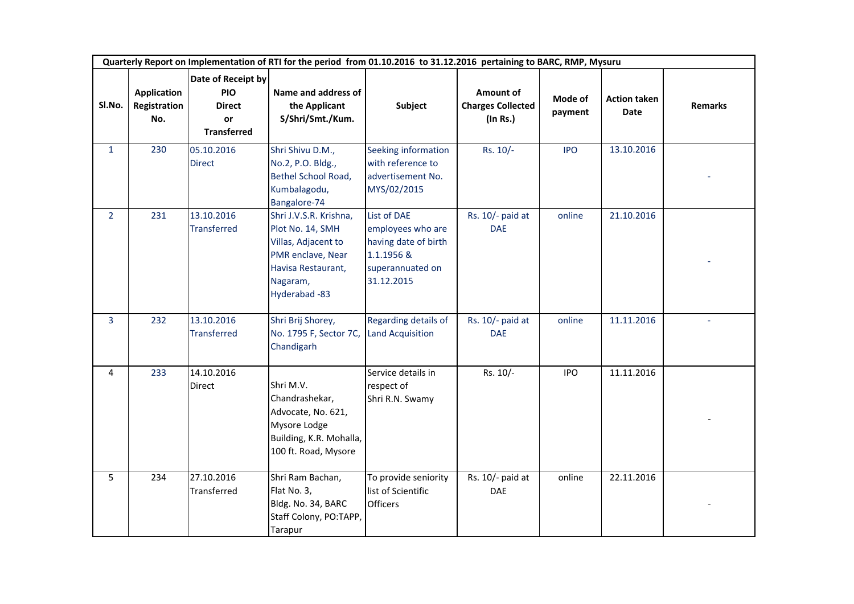| Quarterly Report on Implementation of RTI for the period from 01.10.2016 to 31.12.2016 pertaining to BARC, RMP, Mysuru |                                           |                                                                               |                                                                                                                                          |                                                                                                          |                                                         |                    |                                    |                |  |
|------------------------------------------------------------------------------------------------------------------------|-------------------------------------------|-------------------------------------------------------------------------------|------------------------------------------------------------------------------------------------------------------------------------------|----------------------------------------------------------------------------------------------------------|---------------------------------------------------------|--------------------|------------------------------------|----------------|--|
| SI.No.                                                                                                                 | <b>Application</b><br>Registration<br>No. | Date of Receipt by<br><b>PIO</b><br><b>Direct</b><br>or<br><b>Transferred</b> | Name and address of<br>the Applicant<br>S/Shri/Smt./Kum.                                                                                 | Subject                                                                                                  | Amount of<br><b>Charges Collected</b><br>$($ In Rs. $)$ | Mode of<br>payment | <b>Action taken</b><br><b>Date</b> | <b>Remarks</b> |  |
| $\mathbf{1}$                                                                                                           | 230                                       | 05.10.2016<br><b>Direct</b>                                                   | Shri Shivu D.M.,<br>No.2, P.O. Bldg.,<br>Bethel School Road,<br>Kumbalagodu,<br>Bangalore-74                                             | Seeking information<br>with reference to<br>advertisement No.<br>MYS/02/2015                             | Rs. 10/-                                                | <b>IPO</b>         | 13.10.2016                         |                |  |
| $2^{\circ}$                                                                                                            | 231                                       | 13.10.2016<br><b>Transferred</b>                                              | Shri J.V.S.R. Krishna,<br>Plot No. 14, SMH<br>Villas, Adjacent to<br>PMR enclave, Near<br>Havisa Restaurant,<br>Nagaram,<br>Hyderabad-83 | List of DAE<br>employees who are<br>having date of birth<br>1.1.1956 &<br>superannuated on<br>31.12.2015 | Rs. 10/- paid at<br><b>DAE</b>                          | online             | 21.10.2016                         |                |  |
| 3                                                                                                                      | 232                                       | 13.10.2016<br><b>Transferred</b>                                              | Shri Brij Shorey,<br>No. 1795 F, Sector 7C,<br>Chandigarh                                                                                | Regarding details of<br><b>Land Acquisition</b>                                                          | Rs. 10/- paid at<br><b>DAE</b>                          | online             | 11.11.2016                         |                |  |
| $\overline{4}$                                                                                                         | 233                                       | 14.10.2016<br>Direct                                                          | Shri M.V.<br>Chandrashekar,<br>Advocate, No. 621,<br>Mysore Lodge<br>Building, K.R. Mohalla,<br>100 ft. Road, Mysore                     | Service details in<br>respect of<br>Shri R.N. Swamy                                                      | Rs. 10/-                                                | <b>IPO</b>         | 11.11.2016                         |                |  |
| 5                                                                                                                      | 234                                       | 27.10.2016<br>Transferred                                                     | Shri Ram Bachan,<br>Flat No. 3,<br>Bldg. No. 34, BARC<br>Staff Colony, PO:TAPP,<br>Tarapur                                               | To provide seniority<br>list of Scientific<br><b>Officers</b>                                            | Rs. 10/- paid at<br>DAE                                 | online             | 22.11.2016                         |                |  |